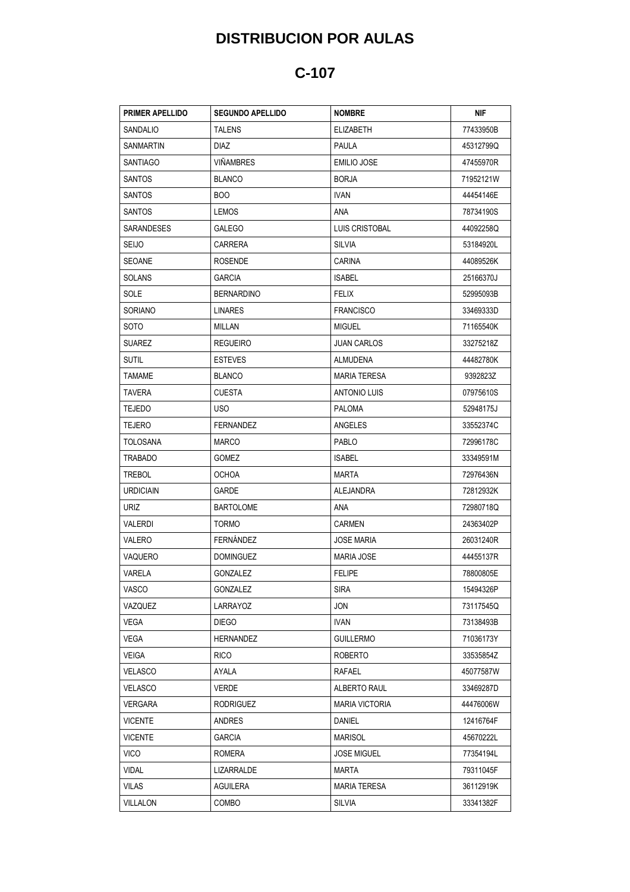## **DISTRIBUCION POR AULAS**

## **C-107**

| <b>PRIMER APELLIDO</b> | <b>SEGUNDO APELLIDO</b> | <b>NOMBRE</b>         | NIF       |
|------------------------|-------------------------|-----------------------|-----------|
| SANDALIO               | <b>TALENS</b>           | <b>ELIZABETH</b>      | 77433950B |
| SANMARTIN              | DIAZ.                   | PAULA                 | 45312799Q |
| SANTIAGO               | <b>VIÑAMBRES</b>        | EMILIO JOSE           | 47455970R |
| <b>SANTOS</b>          | <b>BLANCO</b>           | <b>BORJA</b>          | 71952121W |
| SANTOS                 | <b>BOO</b>              | IVAN.                 | 44454146E |
| <b>SANTOS</b>          | LEMOS                   | <b>ANA</b>            | 78734190S |
| SARANDESES             | <b>GALEGO</b>           | LUIS CRISTOBAL        | 44092258Q |
| <b>SEIJO</b>           | CARRERA                 | SILVIA                | 53184920L |
| SEOANE                 | <b>ROSENDE</b>          | <b>CARINA</b>         | 44089526K |
| <b>SOLANS</b>          | <b>GARCIA</b>           | <b>ISABEL</b>         | 25166370J |
| SOLE                   | <b>BERNARDINO</b>       | <b>FELIX</b>          | 52995093B |
| SORIANO                | <b>LINARES</b>          | <b>FRANCISCO</b>      | 33469333D |
| <b>SOTO</b>            | MILLAN                  | <b>MIGUEL</b>         | 71165540K |
| <b>SUAREZ</b>          | <b>REGUEIRO</b>         | <b>JUAN CARLOS</b>    | 33275218Z |
| <b>SUTIL</b>           | <b>ESTEVES</b>          | <b>ALMUDENA</b>       | 44482780K |
| <b>TAMAME</b>          | <b>BLANCO</b>           | <b>MARIA TERESA</b>   | 9392823Z  |
| <b>TAVERA</b>          | <b>CUESTA</b>           | ANTONIO LUIS          | 07975610S |
| <b>TEJEDO</b>          | USO.                    | <b>PALOMA</b>         | 52948175J |
| <b>TEJERO</b>          | <b>FERNANDEZ</b>        | ANGELES               | 33552374C |
| TOLOSANA               | MARCO                   | PABLO                 | 72996178C |
| TRABADO                | GOMEZ                   | <b>ISABEL</b>         | 33349591M |
| <b>TREBOL</b>          | <b>OCHOA</b>            | <b>MARTA</b>          | 72976436N |
| <b>URDICIAIN</b>       | GARDE                   | <b>ALEJANDRA</b>      | 72812932K |
| URIZ                   | <b>BARTOLOME</b>        | <b>ANA</b>            | 72980718Q |
| VALERDI                | <b>TORMO</b>            | CARMEN                | 24363402P |
| VALERO                 | FERNANDEZ               | <b>JOSE MARIA</b>     | 26031240R |
| VAQUERO                | <b>DOMINGUEZ</b>        | <b>MARIA JOSE</b>     | 44455137R |
| <b>VARELA</b>          | GONZALEZ                | <b>FELIPE</b>         | 78800805E |
| VASCO                  | GONZALEZ                | <b>SIRA</b>           | 15494326P |
| VAZQUEZ                | LARRAYOZ                | JON                   | 73117545Q |
| VEGA                   | <b>DIEGO</b>            | IVAN                  | 73138493B |
| VEGA                   | <b>HERNANDEZ</b>        | <b>GUILLERMO</b>      | 71036173Y |
| <b>VEIGA</b>           | <b>RICO</b>             | <b>ROBERTO</b>        | 33535854Z |
| <b>VELASCO</b>         | AYALA                   | RAFAEL                | 45077587W |
| <b>VELASCO</b>         | VERDE                   | ALBERTO RAUL          | 33469287D |
| <b>VERGARA</b>         | <b>RODRIGUEZ</b>        | <b>MARIA VICTORIA</b> | 44476006W |
| <b>VICENTE</b>         | ANDRES                  | DANIEL                | 12416764F |
| <b>VICENTE</b>         | GARCIA                  | MARISOL               | 45670222L |
| <b>VICO</b>            | ROMERA                  | <b>JOSE MIGUEL</b>    | 77354194L |
| <b>VIDAL</b>           | LIZARRALDE              | <b>MARTA</b>          | 79311045F |
| VILAS                  | AGUILERA                | MARIA TERESA          | 36112919K |
| VILLALON               | COMBO                   | <b>SILVIA</b>         | 33341382F |